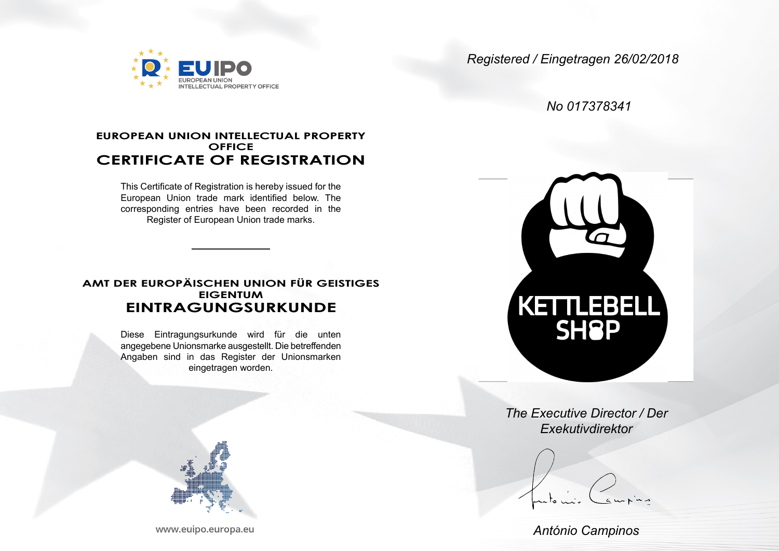

*Registered / Eingetragen 26/02/2018*

*No 017378341*

## **EUROPEAN UNION INTELLECTUAL PROPERTY OFFICE CERTIFICATE OF REGISTRATION**

This Certificate of Registration is hereby issued for the European Union trade mark identified below. The corresponding entries have been recorded in the Register of European Union trade marks.

## **AMT DER EUROPÄISCHEN UNION FÜR GEISTIGES EIGENTUM EINTRAGUNGSURKUNDE**

Diese Eintragungsurkunde wird für die unten angegebene Unionsmarke ausgestellt. Die betreffenden Angaben sind in das Register der Unionsmarken eingetragen worden.



*The Executive Director / Der Exekutivdirektor*

*António Campinos*

www.euipo.europa.eu